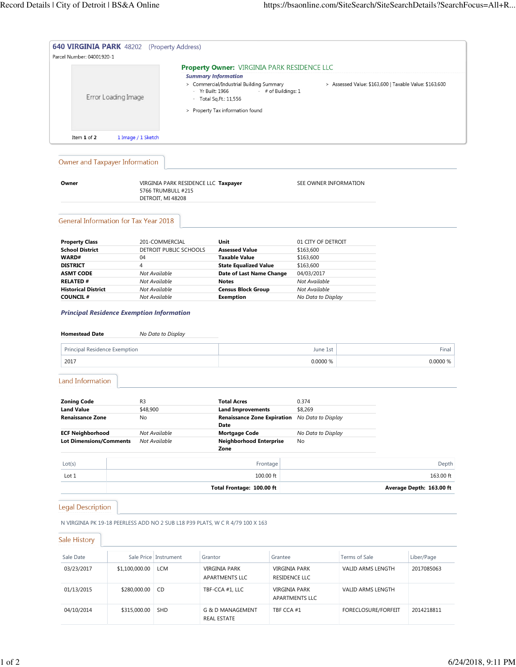| Parcel Number: 04001920-1                                                 |                     | <b>640 VIRGINIA PARK</b> 48202 (Property Address)                               |                                                                                                                                                              |                                |                                              |                                                        |                          |
|---------------------------------------------------------------------------|---------------------|---------------------------------------------------------------------------------|--------------------------------------------------------------------------------------------------------------------------------------------------------------|--------------------------------|----------------------------------------------|--------------------------------------------------------|--------------------------|
|                                                                           | Error Loading Image | <b>Summary Information</b><br><b>Yr Built: 1966</b>                             | <b>Property Owner: VIRGINIA PARK RESIDENCE LLC</b><br>> Commercial/Industrial Building Summary<br>- Total Sq.Ft.: 11,556<br>> Property Tax information found | - # of Buildings: 1            |                                              | > Assessed Value: \$163,600   Taxable Value: \$163,600 |                          |
| Item 1 of 2                                                               | 1 Image / 1 Sketch  |                                                                                 |                                                                                                                                                              |                                |                                              |                                                        |                          |
| Owner and Taxpayer Information                                            |                     |                                                                                 |                                                                                                                                                              |                                |                                              |                                                        |                          |
| Owner                                                                     |                     | VIRGINIA PARK RESIDENCE LLC Taxpayer<br>5766 TRUMBULL #215<br>DETROIT, MI 48208 |                                                                                                                                                              |                                | SEE OWNER INFORMATION                        |                                                        |                          |
| <b>General Information for Tax Year 2018</b>                              |                     |                                                                                 |                                                                                                                                                              |                                |                                              |                                                        |                          |
| <b>Property Class</b><br><b>School District</b><br>WARD#                  | 04                  | 201-COMMERCIAL<br>DETROIT PUBLIC SCHOOLS                                        | Unit<br><b>Assessed Value</b><br><b>Taxable Value</b>                                                                                                        |                                | 01 CITY OF DETROIT<br>\$163,600<br>\$163,600 |                                                        |                          |
| <b>DISTRICT</b><br><b>ASMT CODE</b><br><b>RELATED#</b>                    | 4                   | Not Available<br>Not Available                                                  | <b>State Equalized Value</b><br>Date of Last Name Change<br><b>Notes</b>                                                                                     |                                | \$163,600<br>04/03/2017<br>Not Available     |                                                        |                          |
| <b>Historical District</b><br><b>COUNCIL#</b>                             |                     | Not Available<br>Not Available                                                  | <b>Census Block Group</b><br><b>Exemption</b>                                                                                                                |                                | Not Available<br>No Data to Display          |                                                        |                          |
| <b>Principal Residence Exemption Information</b><br><b>Homestead Date</b> |                     | No Data to Display                                                              |                                                                                                                                                              |                                |                                              |                                                        |                          |
| Principal Residence Exemption                                             |                     |                                                                                 |                                                                                                                                                              |                                | June 1st                                     |                                                        | Final                    |
| 2017                                                                      |                     |                                                                                 |                                                                                                                                                              |                                | 0.0000 %                                     |                                                        | 0.0000 %                 |
| <b>Land Information</b>                                                   |                     |                                                                                 |                                                                                                                                                              |                                |                                              |                                                        |                          |
|                                                                           |                     |                                                                                 |                                                                                                                                                              |                                |                                              |                                                        |                          |
|                                                                           | R3                  |                                                                                 | <b>Total Acres</b>                                                                                                                                           |                                | 0.374                                        |                                                        |                          |
| <b>Land Value</b><br><b>Renaissance Zone</b>                              | \$48,900<br>No      |                                                                                 | <b>Land Improvements</b><br>Renaissance Zone Expiration No Data to Display                                                                                   |                                | \$8,269                                      |                                                        |                          |
|                                                                           |                     | Not Available<br>Not Available                                                  | Date<br><b>Mortgage Code</b><br><b>Neighborhood Enterprise</b><br>Zone                                                                                       |                                | No Data to Display<br>No                     |                                                        |                          |
| <b>ECF Neighborhood</b><br><b>Lot Dimensions/Comments</b><br>Lot(s)       |                     |                                                                                 | Frontage                                                                                                                                                     |                                |                                              |                                                        |                          |
| <b>Zoning Code</b><br>Lot 1                                               |                     |                                                                                 | 100.00 ft                                                                                                                                                    |                                |                                              |                                                        | Depth<br>163.00 ft       |
|                                                                           |                     |                                                                                 | Total Frontage: 100.00 ft                                                                                                                                    |                                |                                              |                                                        | Average Depth: 163.00 ft |
|                                                                           |                     |                                                                                 |                                                                                                                                                              |                                |                                              |                                                        |                          |
|                                                                           |                     | N VIRGINIA PK 19-18 PEERLESS ADD NO 2 SUB L18 P39 PLATS, W C R 4/79 100 X 163   |                                                                                                                                                              |                                |                                              |                                                        |                          |
|                                                                           |                     |                                                                                 |                                                                                                                                                              |                                |                                              |                                                        |                          |
| Sale Date                                                                 |                     | Sale Price   Instrument<br>Grantor                                              |                                                                                                                                                              | Grantee                        |                                              | Terms of Sale                                          | Liber/Page               |
| 03/23/2017                                                                | \$1,100,000.00      | <b>LCM</b>                                                                      | VIRGINIA PARK<br>APARTMENTS LLC                                                                                                                              | VIRGINIA PARK<br>RESIDENCE LLC |                                              | VALID ARMS LENGTH                                      | 2017085063               |
| <b>Legal Description</b><br>Sale History<br>01/13/2015                    | \$280,000.00        | CD                                                                              | TBF-CCA #1, LLC                                                                                                                                              | <b>VIRGINIA PARK</b>           | APARTMENTS LLC                               | VALID ARMS LENGTH                                      |                          |